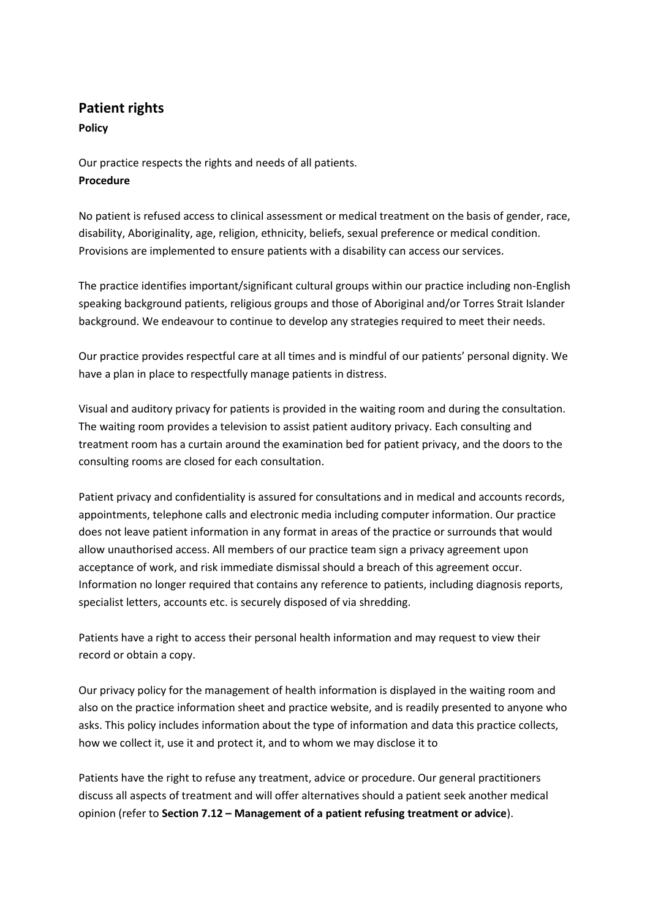## **Patient rights**

**Policy**

Our practice respects the rights and needs of all patients. **Procedure**

No patient is refused access to clinical assessment or medical treatment on the basis of gender, race, disability, Aboriginality, age, religion, ethnicity, beliefs, sexual preference or medical condition. Provisions are implemented to ensure patients with a disability can access our services.

The practice identifies important/significant cultural groups within our practice including non-English speaking background patients, religious groups and those of Aboriginal and/or Torres Strait Islander background. We endeavour to continue to develop any strategies required to meet their needs.

Our practice provides respectful care at all times and is mindful of our patients' personal dignity. We have a plan in place to respectfully manage patients in distress.

Visual and auditory privacy for patients is provided in the waiting room and during the consultation. The waiting room provides a television to assist patient auditory privacy. Each consulting and treatment room has a curtain around the examination bed for patient privacy, and the doors to the consulting rooms are closed for each consultation.

Patient privacy and confidentiality is assured for consultations and in medical and accounts records, appointments, telephone calls and electronic media including computer information. Our practice does not leave patient information in any format in areas of the practice or surrounds that would allow unauthorised access. All members of our practice team sign a privacy agreement upon acceptance of work, and risk immediate dismissal should a breach of this agreement occur. Information no longer required that contains any reference to patients, including diagnosis reports, specialist letters, accounts etc. is securely disposed of via shredding.

Patients have a right to access their personal health information and may request to view their record or obtain a copy.

Our privacy policy for the management of health information is displayed in the waiting room and also on the practice information sheet and practice website, and is readily presented to anyone who asks. This policy includes information about the type of information and data this practice collects, how we collect it, use it and protect it, and to whom we may disclose it to

Patients have the right to refuse any treatment, advice or procedure. Our general practitioners discuss all aspects of treatment and will offer alternatives should a patient seek another medical opinion (refer to **Section 7.12 – Management of a patient refusing treatment or advice**).